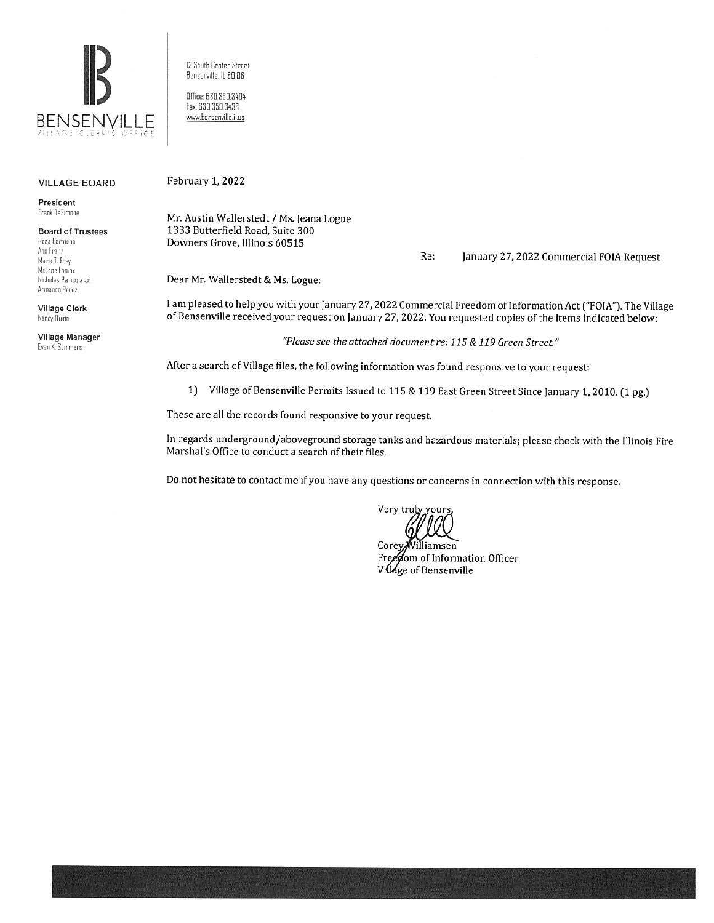

12 South Center Street Bensenville. IL 60106

Dfiice: 63D.35D.3404 fax 630 350.3438 www.bensenville.il.us

## VILLAGE BOARD

President Frank DeSimone

Board of Trustees P.asa Carmona Ann Franz Marie T. Frey McLane Lomax Nicholas Panicola Jr. Armando Perez

Village Clerk Nancy Uuinn

Village Manager **Evan K. Summers** 

February 1, 2022

Mr. Austin Wallerstedt / Ms. Jeana Logue 1333 Butterfield Road, Suite 300 Downers Grove, Illinois 60515

Re: January 27, 2022 Commercial FOIA Request

Dear Mr. Wallerstedt & Ms. Logue:

I am pleased to help you with your January 27, 2022 Commercial Freedom of Information Act ("FOIA"). The Village of Bensenville received your request on January 27, 2022. You requested copies of the items indicated below:

*"Please see the attached document re: 115* & *119 Green Street"* 

After a search of Village files, the following information was found responsive to your request:

1) Village of Bensenville Permits Issued to 115 & 119 East Green Street Since January 1, 2010. (1 pg.)

These are all the records found responsive to your request.

In regards underground/aboveground storage tanks and hazardous materials; please check with the Illinois Fire Marshal's Office to conduct a search of their files.

Do not hesitate to contact me if you have any questions or concerns in connection with this response.

Very truly yours

Corey Williamsen Freedom of Information Officer Village of Bensenville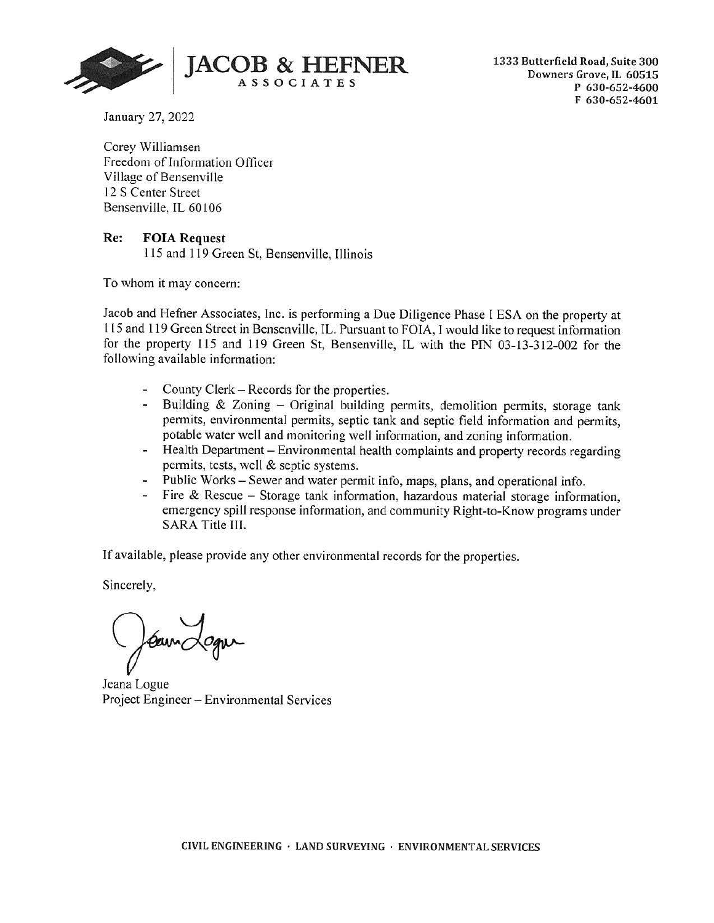

January 27, 2022

Corey Williamsen Freedom of Information Officer Village of Bensenville 12 S Center Street Bensenville, IL 60106

## **Re: FOIA Request**

11 5 and 1 19 Green St, Bensenville, Illinois

To whom it may concern:

Jacob and Hefner Associates, Inc. is performing a Due Diligence Phase I ESA on the property at 115 and 119 Green Street in Bensenville, IL. Pursuant to FOIA, I would like to request information for the property 115 and 119 Green St, Bensenville, IL with the PIN 03-13-312-002 for the following available information:

- County Clerk Records for the properties.
- Building & Zoning Original building permits, demolition permits, storage tank permits, environmental permits, septic tank and septic field information and permits, potable water well and monitoring well information, and zoning information.
- Health Department Environmental health complaints and property records regarding permits, tests, well & septic systems.
- Public Works Sewer and water permit info, maps, plans, and operational info.
- Fire & Rescue Storage tank information, hazardous material storage information, emergency spill response information, and community Right-to-Know programs under SARA Title III.

If available, please provide any other environmental records for the properties.

Sincerely,

Carne

Jeana Logue Project Engineer - Environmental Services